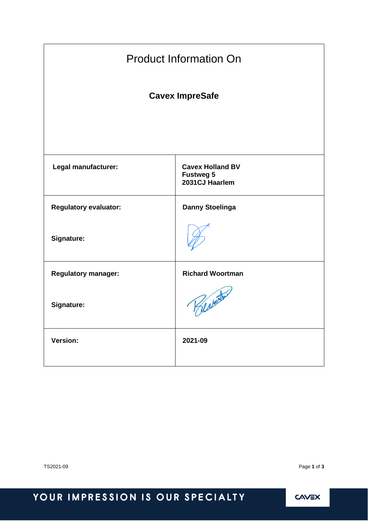| <b>Product Information On</b> |                                                               |  |
|-------------------------------|---------------------------------------------------------------|--|
| <b>Cavex ImpreSafe</b>        |                                                               |  |
|                               |                                                               |  |
| Legal manufacturer:           | <b>Cavex Holland BV</b><br><b>Fustweg 5</b><br>2031CJ Haarlem |  |
| <b>Regulatory evaluator:</b>  | <b>Danny Stoelinga</b>                                        |  |
| Signature:                    |                                                               |  |
| <b>Regulatory manager:</b>    | <b>Richard Woortman</b>                                       |  |
| Signature:                    | Beston                                                        |  |
| <b>Version:</b>               | 2021-09                                                       |  |

TS2021-09 Page **1** of **3**

# YOUR IMPRESSION IS OUR SPECIALTY

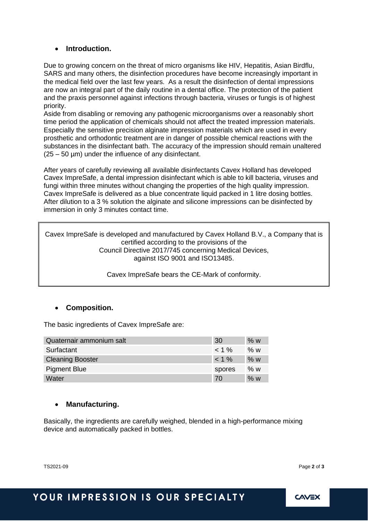#### • **Introduction.**

Due to growing concern on the threat of micro organisms like HIV, Hepatitis, Asian Birdflu, SARS and many others, the disinfection procedures have become increasingly important in the medical field over the last few years. As a result the disinfection of dental impressions are now an integral part of the daily routine in a dental office. The protection of the patient and the praxis personnel against infections through bacteria, viruses or fungis is of highest priority.

Aside from disabling or removing any pathogenic microorganisms over a reasonably short time period the application of chemicals should not affect the treated impression materials. Especially the sensitive precision alginate impression materials which are used in every prosthetic and orthodontic treatment are in danger of possible chemical reactions with the substances in the disinfectant bath. The accuracy of the impression should remain unaltered  $(25 - 50 \text{ nm})$  under the influence of any disinfectant.

After years of carefully reviewing all available disinfectants Cavex Holland has developed Cavex ImpreSafe, a dental impression disinfectant which is able to kill bacteria, viruses and fungi within three minutes without changing the properties of the high quality impression. Cavex ImpreSafe is delivered as a blue concentrate liquid packed in 1 litre dosing bottles. After dilution to a 3 % solution the alginate and silicone impressions can be disinfected by immersion in only 3 minutes contact time.

Cavex ImpreSafe is developed and manufactured by Cavex Holland B.V., a Company that is certified according to the provisions of the Council Directive 2017/745 concerning Medical Devices, against ISO 9001 and ISO13485.

Cavex ImpreSafe bears the CE-Mark of conformity.

#### • **Composition.**

The basic ingredients of Cavex ImpreSafe are:

| Quaternair ammonium salt | 30      | % w   |
|--------------------------|---------|-------|
| Surfactant               | $< 1\%$ | % w   |
| <b>Cleaning Booster</b>  | $1\%$   | % w   |
| <b>Pigment Blue</b>      | spores  | % $w$ |
| Water                    | 70      | % w   |

#### • **Manufacturing.**

Basically, the ingredients are carefully weighed, blended in a high-performance mixing device and automatically packed in bottles.

TS2021-09 Page **2** of **3**

## YOUR IMPRESSION IS OUR SPECIALTY